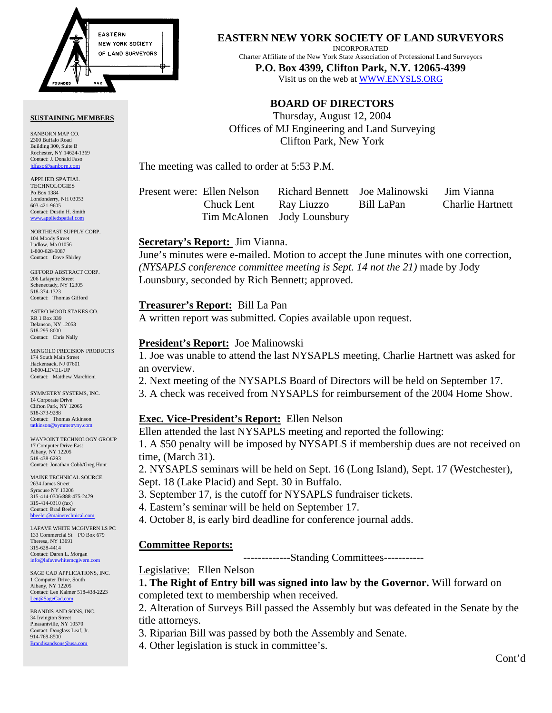

#### **SUSTAINING MEMBERS**

SANBORN MAP CO. 2300 Buffalo Road Building 300, Suite B Rochester, NY 14624-1369 Contact: J. Donald Faso jdfaso@sanborn.

APPLIED SPATIAL **TECHNOLOGIES** Po Box 1384 Londonderry, NH 03053 603-421-9605 Contact: Dustin H. Smith <www.appliedspatial.com>

NORTHEAST SUPPLY CORP. 104 Moody Street Ludlow, Ma 01056 1-800-628-9087 Contact: Dave Shirley

GIFFORD ABSTRACT CORP. 206 Lafayette Street Schenectady, NY 12305 518-374-1323 Contact: Thomas Gifford

ASTRO WOOD STAKES CO. RR 1 Box 339 Delanson, NY 12053 518-295-8000 Contact: Chris Nally

MINGOLO PRECISION PRODUCTS 174 South Main Street Hackensack, NJ 07601 1-800-LEVEL-UP Contact: Matthew Marchioni

SYMMETRY SYSTEMS, INC. 14 Corporate Drive Clifton Park, NY 12065 518-373-9288 Contact: Thomas Atkinson<br>tatkinson@symmetryny.com tatkinson

WAYPOINT TECHNOLOGY GROUP 17 Computer Drive East Albany, NY 12205 518-438-6293 Contact: Jonathan Cobb/Greg Hunt

MAINE TECHNICAL SOURCE 2634 James Street Syracuse NY 13206 315-414-0306/888-475-2479 315-414-0310 (fax) Contact: Brad Beeler bbeeler@m

LAFAVE WHITE MCGIVERN LS PC 133 Commercial St PO Box 679 Theresa, NY 13691 315-628-4414 Contact: Daren L. Morgan info@lafavewhitem

SAGE CAD APPLICATIONS, INC. 1 Computer Drive, South Albany, NY 12205 Contact: Len Kalmer 518-438-2223 [Len@SageCad.com](MAILTO:Len@SageCad.com)

BRANDIS AND SONS, INC. 34 Irvington Street Pleasantville, NY 10570 Contact: Douglass Leaf, Jr. 914-769-8500 [Brandisandsons@usa.com](MAILTO:brandisandsons@usa.com)

**EASTERN NEW YORK SOCIETY OF LAND SURVEYORS**

INCORPORATED

Charter Affiliate of the New York State Association of Professional Land Surveyors **P.O. Box 4399, Clifton Park, N.Y. 12065-4399** 

Visit us on the web a[t WWW.ENYSLS.ORG](www.enysls.org)

## **BOARD OF DIRECTORS**

Thursday, August 12, 2004 Offices of MJ Engineering and Land Surveying Clifton Park, New York

The meeting was called to order at 5:53 P.M.

Present were: Ellen Nelson Richard Bennett Joe Malinowski Jim Vianna

 Chuck Lent Ray Liuzzo Bill LaPan Charlie Hartnett Tim McAlonen Jody Lounsbury

## **Secretary's Report:** Jim Vianna.

June's minutes were e-mailed. Motion to accept the June minutes with one correction, *(NYSAPLS conference committee meeting is Sept. 14 not the 21)* made by Jody Lounsbury, seconded by Rich Bennett; approved.

## **Treasurer's Report:** Bill La Pan

A written report was submitted. Copies available upon request.

## **President's Report:** Joe Malinowski

1. Joe was unable to attend the last NYSAPLS meeting, Charlie Hartnett was asked for an overview.

2. Next meeting of the NYSAPLS Board of Directors will be held on September 17.

3. A check was received from NYSAPLS for reimbursement of the 2004 Home Show.

# **Exec. Vice-President's Report:** Ellen Nelson

Ellen attended the last NYSAPLS meeting and reported the following:

1. A \$50 penalty will be imposed by NYSAPLS if membership dues are not received on time, (March 31).

2. NYSAPLS seminars will be held on Sept. 16 (Long Island), Sept. 17 (Westchester), Sept. 18 (Lake Placid) and Sept. 30 in Buffalo.

- 3. September 17, is the cutoff for NYSAPLS fundraiser tickets.
- 4. Eastern's seminar will be held on September 17.
- 4. October 8, is early bird deadline for conference journal adds.

# **Committee Reports:**

-------------Standing Committees-----------

Legislative: Ellen Nelson

**1. The Right of Entry bill was signed into law by the Governor.** Will forward on completed text to membership when received.

2. Alteration of Surveys Bill passed the Assembly but was defeated in the Senate by the title attorneys.

3. Riparian Bill was passed by both the Assembly and Senate.

4. Other legislation is stuck in committee's.